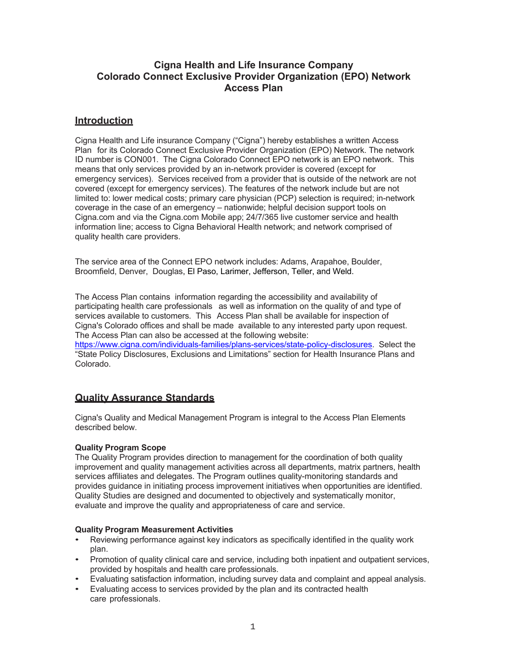### **Cigna Health and Life Insurance Company Colorado Connect Exclusive Provider Organization (EPO) Network Access Plan**

### **Introduction**

Cigna Health and Life insurance Company ("Cigna") hereby establishes a written Access Plan for its Colorado Connect Exclusive Provider Organization (EPO) Network. The network ID number is CON001. The Cigna Colorado Connect EPO network is an EPO network. This means that only services provided by an in-network provider is covered (except for emergency services). Services received from a provider that is outside of the network are not covered (except for emergency services). The features of the network include but are not limited to: lower medical costs; primary care physician (PCP) selection is required; in-network coverage in the case of an emergency – nationwide; helpful decision support tools on Cigna.com and via the Cigna.com Mobile app; 24/7/365 live customer service and health information line; access to Cigna Behavioral Health network; and network comprised of quality health care providers.

The service area of the Connect EPO network includes: Adams, Arapahoe, Boulder, Broomfield, Denver, Douglas, El Paso, Larimer, Jefferson, Teller, and Weld.

The Access Plan contains information regarding the accessibility and availability of participating health care professionals as well as information on the quality of and type of services available to customers. This Access Plan shall be available for inspection of Cigna's Colorado offices and shall be made available to any interested party upon request. The Access Plan can also be accessed at the following website: https://www.cigna.com/individuals-families/plans-services/state-policy-disclosures. Select the "State Policy Disclosures, Exclusions and Limitations" section for Health Insurance Plans and Colorado.

# **Quality Assurance Standards**

Cigna's Quality and Medical Management Program is integral to the Access Plan Elements described below.

### **Quality Program Scope**

The Quality Program provides direction to management for the coordination of both quality improvement and quality management activities across all departments, matrix partners, health services affiliates and delegates. The Program outlines quality-monitoring standards and provides guidance in initiating process improvement initiatives when opportunities are identified. Quality Studies are designed and documented to objectively and systematically monitor, evaluate and improve the quality and appropriateness of care and service.

### **Quality Program Measurement Activities**

- Reviewing performance against key indicators as specifically identified in the quality work plan.
- Promotion of quality clinical care and service, including both inpatient and outpatient services, provided by hospitals and health care professionals.
- Evaluating satisfaction information, including survey data and complaint and appeal analysis.
- Evaluating access to services provided by the plan and its contracted health care professionals.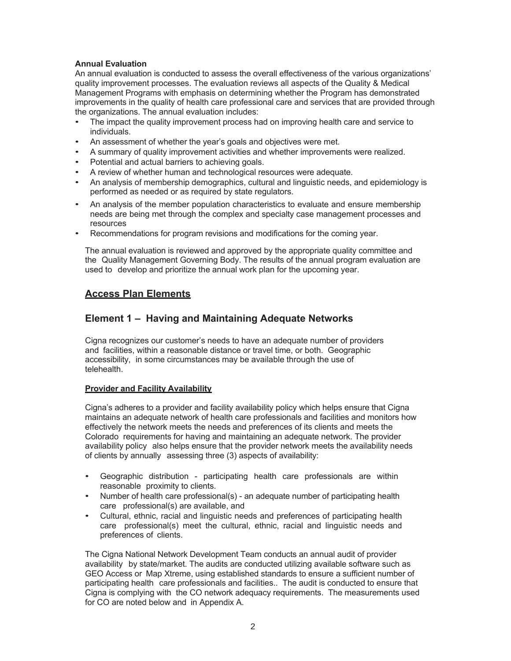### **Annual Evaluation**

An annual evaluation is conducted to assess the overall effectiveness of the various organizations' quality improvement processes. The evaluation reviews all aspects of the Quality & Medical Management Programs with emphasis on determining whether the Program has demonstrated improvements in the quality of health care professional care and services that are provided through the organizations. The annual evaluation includes:

- The impact the quality improvement process had on improving health care and service to individuals.
- An assessment of whether the year's goals and objectives were met.
- A summary of quality improvement activities and whether improvements were realized.
- Potential and actual barriers to achieving goals.
- A review of whether human and technological resources were adequate.
- An analysis of membership demographics, cultural and linguistic needs, and epidemiology is performed as needed or as required by state regulators.
- An analysis of the member population characteristics to evaluate and ensure membership needs are being met through the complex and specialty case management processes and resources
- Recommendations for program revisions and modifications for the coming year.

The annual evaluation is reviewed and approved by the appropriate quality committee and the Quality Management Governing Body. The results of the annual program evaluation are used to develop and prioritize the annual work plan for the upcoming year.

### **Access Plan Elements**

### **Element 1 – Having and Maintaining Adequate Networks**

Cigna recognizes our customer's needs to have an adequate number of providers and facilities, within a reasonable distance or travel time, or both. Geographic accessibility, in some circumstances may be available through the use of telehealth.

### **Provider and Facility Availability**

Cigna's adheres to a provider and facility availability policy which helps ensure that Cigna maintains an adequate network of health care professionals and facilities and monitors how effectively the network meets the needs and preferences of its clients and meets the Colorado requirements for having and maintaining an adequate network. The provider availability policy also helps ensure that the provider network meets the availability needs of clients by annually assessing three (3) aspects of availability:

- Geographic distribution participating health care professionals are within reasonable proximity to clients.
- Number of health care professional(s) an adequate number of participating health care professional(s) are available, and
- Cultural, ethnic, racial and linguistic needs and preferences of participating health care professional(s) meet the cultural, ethnic, racial and linguistic needs and preferences of clients.

The Cigna National Network Development Team conducts an annual audit of provider availability by state/market. The audits are conducted utilizing available software such as GEO Access or Map Xtreme, using established standards to ensure a sufficient number of participating health care professionals and facilities.. The audit is conducted to ensure that Cigna is complying with the CO network adequacy requirements. The measurements used for CO are noted below and in Appendix A.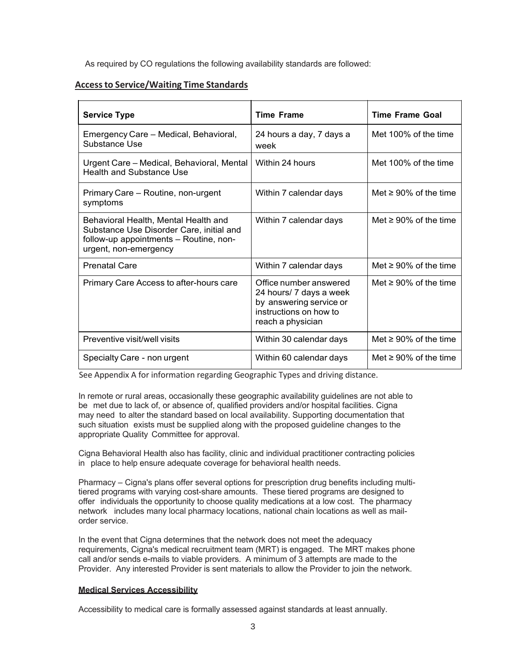As required by CO regulations the following availability standards are followed:

### **Access to Service/Waiting Time Standards**

| <b>Service Type</b>                                                                                                                                 | <b>Time Frame</b>                                                                                                           | <b>Time Frame Goal</b>      |
|-----------------------------------------------------------------------------------------------------------------------------------------------------|-----------------------------------------------------------------------------------------------------------------------------|-----------------------------|
| Emergency Care - Medical, Behavioral,<br>Substance Use                                                                                              | 24 hours a day, 7 days a<br>week                                                                                            | Met 100% of the time        |
| Urgent Care - Medical, Behavioral, Mental<br><b>Health and Substance Use</b>                                                                        | Within 24 hours                                                                                                             | Met 100% of the time        |
| Primary Care - Routine, non-urgent<br>symptoms                                                                                                      | Within 7 calendar days                                                                                                      | Met $\geq 90\%$ of the time |
| Behavioral Health, Mental Health and<br>Substance Use Disorder Care, initial and<br>follow-up appointments - Routine, non-<br>urgent, non-emergency | Within 7 calendar days                                                                                                      | Met $\geq 90\%$ of the time |
| <b>Prenatal Care</b>                                                                                                                                | Within 7 calendar days                                                                                                      | Met $\geq 90\%$ of the time |
| Primary Care Access to after-hours care                                                                                                             | Office number answered<br>24 hours/ 7 days a week<br>by answering service or<br>instructions on how to<br>reach a physician | Met $\geq 90\%$ of the time |
| Preventive visit/well visits                                                                                                                        | Within 30 calendar days                                                                                                     | Met $\geq 90\%$ of the time |
| Specialty Care - non urgent                                                                                                                         | Within 60 calendar days                                                                                                     | Met $\geq 90\%$ of the time |

See Appendix A for information regarding Geographic Types and driving distance.

In remote or rural areas, occasionally these geographic availability guidelines are not able to be met due to lack of, or absence of, qualified providers and/or hospital facilities. Cigna may need to alter the standard based on local availability. Supporting documentation that such situation exists must be supplied along with the proposed guideline changes to the appropriate Quality Committee for approval.

Cigna Behavioral Health also has facility, clinic and individual practitioner contracting policies in place to help ensure adequate coverage for behavioral health needs.

Pharmacy – Cigna's plans offer several options for prescription drug benefits including multitiered programs with varying cost-share amounts. These tiered programs are designed to offer individuals the opportunity to choose quality medications at a low cost. The pharmacy network includes many local pharmacy locations, national chain locations as well as mailorder service.

In the event that Cigna determines that the network does not meet the adequacy requirements, Cigna's medical recruitment team (MRT) is engaged. The MRT makes phone call and/or sends e-mails to viable providers. A minimum of 3 attempts are made to the Provider. Any interested Provider is sent materials to allow the Provider to join the network.

### **Medical Services Accessibility**

Accessibility to medical care is formally assessed against standards at least annually.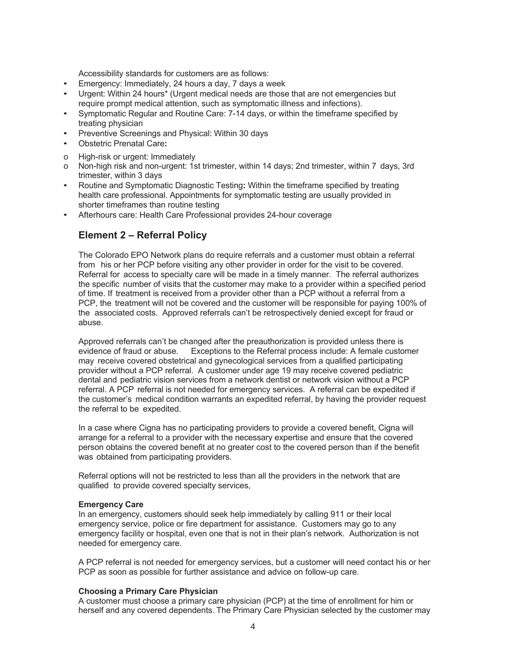Accessibility standards for customers are as follows:

- Emergency: Immediately, 24 hours a day, 7 days a week
- Urgent: Within 24 hours\* (Urgent medical needs are those that are not emergencies but require prompt medical attention, such as symptomatic illness and infections).
- Symptomatic Regular and Routine Care: 7-14 days, or within the timeframe specified by treating physician
- Preventive Screenings and Physical: Within 30 days
- Obstetric Prenatal Care**:**
- o High-risk or urgent: Immediately<br>
o Non-high risk and non-urgent: 1s
- Non-high risk and non-urgent: 1st trimester, within 14 days; 2nd trimester, within 7 days, 3rd trimester, within 3 days
- Routine and Symptomatic Diagnostic Testing**:** Within the timeframe specified by treating health care professional. Appointments for symptomatic testing are usually provided in shorter timeframes than routine testing
- Afterhours care: Health Care Professional provides 24-hour coverage

### **Element 2 – Referral Policy**

The Colorado EPO Network plans do require referrals and a customer must obtain a referral from his or her PCP before visiting any other provider in order for the visit to be covered. Referral for access to specialty care will be made in a timely manner. The referral authorizes the specific number of visits that the customer may make to a provider within a specified period of time. If treatment is received from a provider other than a PCP without a referral from a PCP, the treatment will not be covered and the customer will be responsible for paying 100% of the associated costs. Approved referrals can't be retrospectively denied except for fraud or abuse.

Approved referrals can't be changed after the preauthorization is provided unless there is evidence of fraud or abuse. Exceptions to the Referral process include: A female customer may receive covered obstetrical and gynecological services from a qualified participating provider without a PCP referral. A customer under age 19 may receive covered pediatric dental and pediatric vision services from a network dentist or network vision without a PCP referral. A PCP referral is not needed for emergency services. A referral can be expedited if the customer's medical condition warrants an expedited referral, by having the provider request the referral to be expedited.

In a case where Cigna has no participating providers to provide a covered benefit, Cigna will arrange for a referral to a provider with the necessary expertise and ensure that the covered person obtains the covered benefit at no greater cost to the covered person than if the benefit was obtained from participating providers.

Referral options will not be restricted to less than all the providers in the network that are qualified to provide covered specialty services,

### **Emergency Care**

In an emergency, customers should seek help immediately by calling 911 or their local emergency service, police or fire department for assistance. Customers may go to any emergency facility or hospital, even one that is not in their plan's network. Authorization is not needed for emergency care.

A PCP referral is not needed for emergency services, but a customer will need contact his or her PCP as soon as possible for further assistance and advice on follow-up care.

### **Choosing a Primary Care Physician**

A customer must choose a primary care physician (PCP) at the time of enrollment for him or herself and any covered dependents. The Primary Care Physician selected by the customer may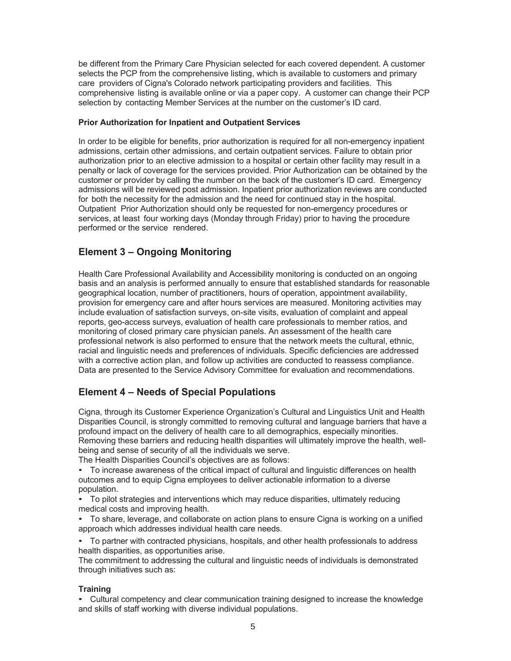be different from the Primary Care Physician selected for each covered dependent. A customer selects the PCP from the comprehensive listing, which is available to customers and primary care providers of Cigna's Colorado network participating providers and facilities. This comprehensive listing is available online or via a paper copy. A customer can change their PCP selection by contacting Member Services at the number on the customer's ID card.

### **Prior Authorization for Inpatient and Outpatient Services**

In order to be eligible for benefits, prior authorization is required for all non-emergency inpatient admissions, certain other admissions, and certain outpatient services. Failure to obtain prior authorization prior to an elective admission to a hospital or certain other facility may result in a penalty or lack of coverage for the services provided. Prior Authorization can be obtained by the customer or provider by calling the number on the back of the customer's ID card. Emergency admissions will be reviewed post admission. Inpatient prior authorization reviews are conducted for both the necessity for the admission and the need for continued stay in the hospital. Outpatient Prior Authorization should only be requested for non-emergency procedures or services, at least four working days (Monday through Friday) prior to having the procedure performed or the service rendered.

# **Element 3 – Ongoing Monitoring**

Health Care Professional Availability and Accessibility monitoring is conducted on an ongoing basis and an analysis is performed annually to ensure that established standards for reasonable geographical location, number of practitioners, hours of operation, appointment availability, provision for emergency care and after hours services are measured. Monitoring activities may include evaluation of satisfaction surveys, on-site visits, evaluation of complaint and appeal reports, geo-access surveys, evaluation of health care professionals to member ratios, and monitoring of closed primary care physician panels. An assessment of the health care professional network is also performed to ensure that the network meets the cultural, ethnic, racial and linguistic needs and preferences of individuals. Specific deficiencies are addressed with a corrective action plan, and follow up activities are conducted to reassess compliance. Data are presented to the Service Advisory Committee for evaluation and recommendations.

# **Element 4 – Needs of Special Populations**

Cigna, through its Customer Experience Organization's Cultural and Linguistics Unit and Health Disparities Council, is strongly committed to removing cultural and language barriers that have a profound impact on the delivery of health care to all demographics, especially minorities. Removing these barriers and reducing health disparities will ultimately improve the health, wellbeing and sense of security of all the individuals we serve.

The Health Disparities Council's objectives are as follows:

• To increase awareness of the critical impact of cultural and linguistic differences on health outcomes and to equip Cigna employees to deliver actionable information to a diverse population.

• To pilot strategies and interventions which may reduce disparities, ultimately reducing medical costs and improving health.

• To share, leverage, and collaborate on action plans to ensure Cigna is working on a unified approach which addresses individual health care needs.

• To partner with contracted physicians, hospitals, and other health professionals to address health disparities, as opportunities arise.

The commitment to addressing the cultural and linguistic needs of individuals is demonstrated through initiatives such as:

### **Training**

• Cultural competency and clear communication training designed to increase the knowledge and skills of staff working with diverse individual populations.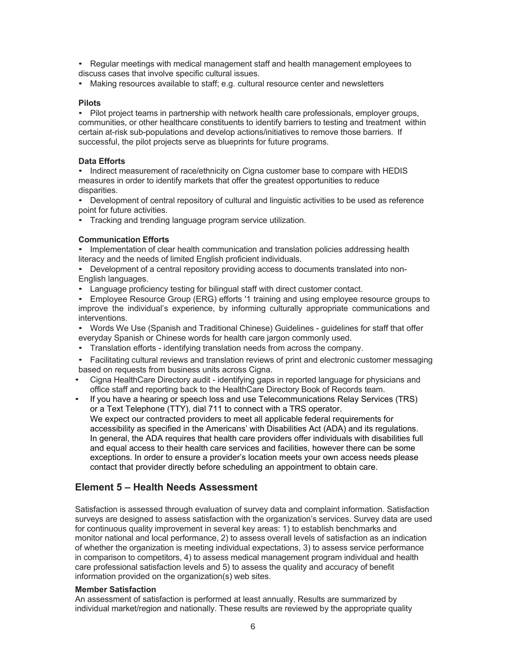• Regular meetings with medical management staff and health management employees to discuss cases that involve specific cultural issues.

• Making resources available to staff; e.g. cultural resource center and newsletters

#### **Pilots**

• Pilot project teams in partnership with network health care professionals, employer groups, communities, or other healthcare constituents to identify barriers to testing and treatment within certain at-risk sub-populations and develop actions/initiatives to remove those barriers. If successful, the pilot projects serve as blueprints for future programs.

### **Data Efforts**

• Indirect measurement of race/ethnicity on Cigna customer base to compare with HEDIS measures in order to identify markets that offer the greatest opportunities to reduce disparities.

• Development of central repository of cultural and linguistic activities to be used as reference point for future activities.

• Tracking and trending language program service utilization.

### **Communication Efforts**

• Implementation of clear health communication and translation policies addressing health literacy and the needs of limited English proficient individuals.

• Development of a central repository providing access to documents translated into non-English languages.

• Language proficiency testing for bilingual staff with direct customer contact.

• Employee Resource Group (ERG) efforts '1 training and using employee resource groups to improve the individual's experience, by informing culturally appropriate communications and interventions.

• Words We Use (Spanish and Traditional Chinese) Guidelines - guidelines for staff that offer everyday Spanish or Chinese words for health care jargon commonly used.

• Translation efforts - identifying translation needs from across the company.

• Facilitating cultural reviews and translation reviews of print and electronic customer messaging based on requests from business units across Cigna.

- Cigna HealthCare Directory audit identifying gaps in reported language for physicians and office staff and reporting back to the HealthCare Directory Book of Records team.
- If you have a hearing or speech loss and use Telecommunications Relay Services (TRS) or a Text Telephone (TTY), dial 711 to connect with a TRS operator. We expect our contracted providers to meet all applicable federal requirements for accessibility as specified in the Americans' with Disabilities Act (ADA) and its regulations. In general, the ADA requires that health care providers offer individuals with disabilities full and equal access to their health care services and facilities, however there can be some exceptions. In order to ensure a provider's location meets your own access needs please contact that provider directly before scheduling an appointment to obtain care.

### **Element 5 – Health Needs Assessment**

Satisfaction is assessed through evaluation of survey data and complaint information. Satisfaction surveys are designed to assess satisfaction with the organization's services. Survey data are used for continuous quality improvement in several key areas: 1) to establish benchmarks and monitor national and local performance, 2) to assess overall levels of satisfaction as an indication of whether the organization is meeting individual expectations, 3) to assess service performance in comparison to competitors, 4) to assess medical management program individual and health care professional satisfaction levels and 5) to assess the quality and accuracy of benefit information provided on the organization(s) web sites.

#### **Member Satisfaction**

An assessment of satisfaction is performed at least annually. Results are summarized by individual market/region and nationally. These results are reviewed by the appropriate quality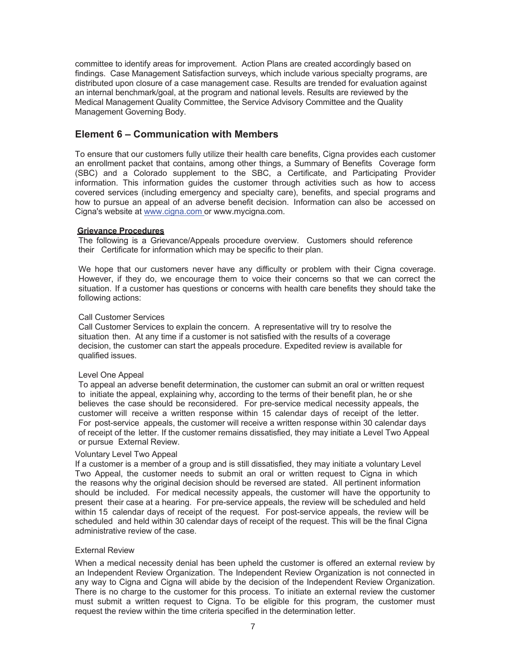committee to identify areas for improvement. Action Plans are created accordingly based on findings. Case Management Satisfaction surveys, which include various specialty programs, are distributed upon closure of a case management case. Results are trended for evaluation against an internal benchmark/goal, at the program and national levels. Results are reviewed by the Medical Management Quality Committee, the Service Advisory Committee and the Quality Management Governing Body.

### **Element 6 – Communication with Members**

To ensure that our customers fully utilize their health care benefits, Cigna provides each customer an enrollment packet that contains, among other things, a Summary of Benefits Coverage form (SBC) and a Colorado supplement to the SBC, a Certificate, and Participating Provider information. This information guides the customer through activities such as how to access covered services (including emergency and specialty care), benefits, and special programs and how to pursue an appeal of an adverse benefit decision. Information can also be accessed on Cigna's website at www.cigna.com or www.mycigna.com.

### **Grievance Procedures**

The following is a Grievance/Appeals procedure overview. Customers should reference their Certificate for information which may be specific to their plan.

We hope that our customers never have any difficulty or problem with their Cigna coverage. However, if they do, we encourage them to voice their concerns so that we can correct the situation. If a customer has questions or concerns with health care benefits they should take the following actions:

### Call Customer Services

Call Customer Services to explain the concern. A representative will try to resolve the situation then. At any time if a customer is not satisfied with the results of a coverage decision, the customer can start the appeals procedure. Expedited review is available for qualified issues.

### Level One Appeal

To appeal an adverse benefit determination, the customer can submit an oral or written request to initiate the appeal, explaining why, according to the terms of their benefit plan, he or she believes the case should be reconsidered. For pre-service medical necessity appeals, the customer will receive a written response within 15 calendar days of receipt of the letter. For post-service appeals, the customer will receive a written response within 30 calendar days of receipt of the letter. If the customer remains dissatisfied, they may initiate a Level Two Appeal or pursue External Review.

### Voluntary Level Two Appeal

If a customer is a member of a group and is still dissatisfied, they may initiate a voluntary Level Two Appeal, the customer needs to submit an oral or written request to Cigna in which the reasons why the original decision should be reversed are stated. All pertinent information should be included. For medical necessity appeals, the customer will have the opportunity to present their case at a hearing. For pre-service appeals, the review will be scheduled and held within 15 calendar days of receipt of the request. For post-service appeals, the review will be scheduled and held within 30 calendar days of receipt of the request. This will be the final Cigna administrative review of the case.

### External Review

When a medical necessity denial has been upheld the customer is offered an external review by an Independent Review Organization. The Independent Review Organization is not connected in any way to Cigna and Cigna will abide by the decision of the Independent Review Organization. There is no charge to the customer for this process. To initiate an external review the customer must submit a written request to Cigna. To be eligible for this program, the customer must request the review within the time criteria specified in the determination letter.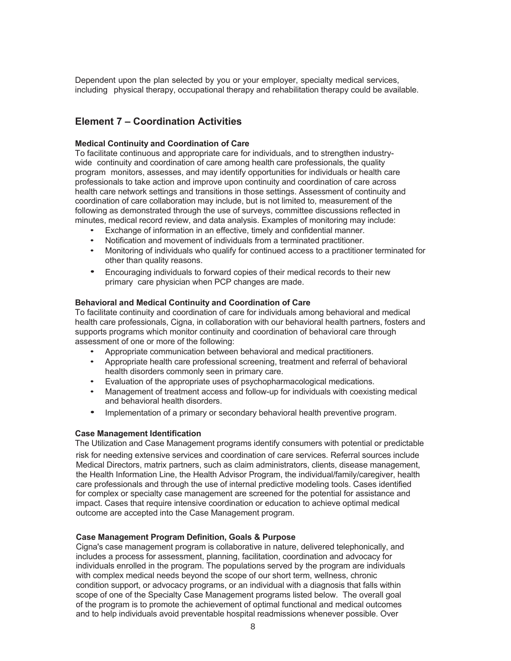Dependent upon the plan selected by you or your employer, specialty medical services, including physical therapy, occupational therapy and rehabilitation therapy could be available.

### **Element 7 – Coordination Activities**

#### **Medical Continuity and Coordination of Care**

To facilitate continuous and appropriate care for individuals, and to strengthen industrywide continuity and coordination of care among health care professionals, the quality program monitors, assesses, and may identify opportunities for individuals or health care professionals to take action and improve upon continuity and coordination of care across health care network settings and transitions in those settings. Assessment of continuity and coordination of care collaboration may include, but is not limited to, measurement of the following as demonstrated through the use of surveys, committee discussions reflected in minutes, medical record review, and data analysis. Examples of monitoring may include:

- Exchange of information in an effective, timely and confidential manner.
- Notification and movement of individuals from a terminated practitioner.
- Monitoring of individuals who qualify for continued access to a practitioner terminated for other than quality reasons.
- Encouraging individuals to forward copies of their medical records to their new primary care physician when PCP changes are made.

#### **Behavioral and Medical Continuity and Coordination of Care**

To facilitate continuity and coordination of care for individuals among behavioral and medical health care professionals, Cigna, in collaboration with our behavioral health partners, fosters and supports programs which monitor continuity and coordination of behavioral care through assessment of one or more of the following:

- Appropriate communication between behavioral and medical practitioners.
- Appropriate health care professional screening, treatment and referral of behavioral health disorders commonly seen in primary care.
- Evaluation of the appropriate uses of psychopharmacological medications.
- Management of treatment access and follow-up for individuals with coexisting medical and behavioral health disorders.
- Implementation of a primary or secondary behavioral health preventive program.

### **Case Management Identification**

The Utilization and Case Management programs identify consumers with potential or predictable risk for needing extensive services and coordination of care services. Referral sources include Medical Directors, matrix partners, such as claim administrators, clients, disease management, the Health Information Line, the Health Advisor Program, the individual/family/caregiver, health care professionals and through the use of internal predictive modeling tools. Cases identified for complex or specialty case management are screened for the potential for assistance and impact. Cases that require intensive coordination or education to achieve optimal medical outcome are accepted into the Case Management program.

### **Case Management Program Definition, Goals & Purpose**

Cigna's case management program is collaborative in nature, delivered telephonically, and includes a process for assessment, planning, facilitation, coordination and advocacy for individuals enrolled in the program. The populations served by the program are individuals with complex medical needs beyond the scope of our short term, wellness, chronic condition support, or advocacy programs, or an individual with a diagnosis that falls within scope of one of the Specialty Case Management programs listed below. The overall goal of the program is to promote the achievement of optimal functional and medical outcomes and to help individuals avoid preventable hospital readmissions whenever possible. Over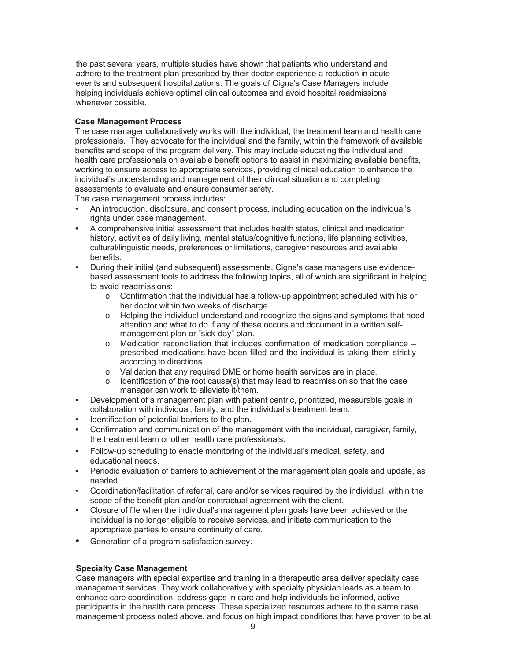the past several years, multiple studies have shown that patients who understand and adhere to the treatment plan prescribed by their doctor experience a reduction in acute events and subsequent hospitalizations. The goals of Cigna's Case Managers include helping individuals achieve optimal clinical outcomes and avoid hospital readmissions whenever possible.

### **Case Management Process**

The case manager collaboratively works with the individual, the treatment team and health care professionals. They advocate for the individual and the family, within the framework of available benefits and scope of the program delivery. This may include educating the individual and health care professionals on available benefit options to assist in maximizing available benefits, working to ensure access to appropriate services, providing clinical education to enhance the individual's understanding and management of their clinical situation and completing assessments to evaluate and ensure consumer safety.

The case management process includes:

- An introduction, disclosure, and consent process, including education on the individual's rights under case management.
- A comprehensive initial assessment that includes health status, clinical and medication history, activities of daily living, mental status/cognitive functions, life planning activities, cultural/linguistic needs, preferences or limitations, caregiver resources and available benefits.
- During their initial (and subsequent) assessments, Cigna's case managers use evidencebased assessment tools to address the following topics, all of which are significant in helping to avoid readmissions:
	- $\circ$  Confirmation that the individual has a follow-up appointment scheduled with his or her doctor within two weeks of discharge.
	- o Helping the individual understand and recognize the signs and symptoms that need attention and what to do if any of these occurs and document in a written selfmanagement plan or "sick-day" plan.
	- $\circ$  Medication reconciliation that includes confirmation of medication compliance  $$ prescribed medications have been filled and the individual is taking them strictly according to directions
	-
	- $\circ$  Validation that any required DME or home health services are in place.<br>  $\circ$  Identification of the root cause(s) that mav lead to readmission so that the Identification of the root cause(s) that may lead to readmission so that the case manager can work to alleviate it/them.
- Development of a management plan with patient centric, prioritized, measurable goals in collaboration with individual, family, and the individual's treatment team.
- Identification of potential barriers to the plan.
- Confirmation and communication of the management with the individual, caregiver, family, the treatment team or other health care professionals.
- Follow-up scheduling to enable monitoring of the individual's medical, safety, and educational needs.
- Periodic evaluation of barriers to achievement of the management plan goals and update, as needed.
- Coordination/facilitation of referral, care and/or services required by the individual, within the scope of the benefit plan and/or contractual agreement with the client.
- Closure of file when the individual's management plan goals have been achieved or the individual is no longer eligible to receive services, and initiate communication to the appropriate parties to ensure continuity of care.
- Generation of a program satisfaction survey.

### **Specialty Case Management**

Case managers with special expertise and training in a therapeutic area deliver specialty case management services. They work collaboratively with specialty physician leads as a team to enhance care coordination, address gaps in care and help individuals be informed, active participants in the health care process. These specialized resources adhere to the same case management process noted above, and focus on high impact conditions that have proven to be at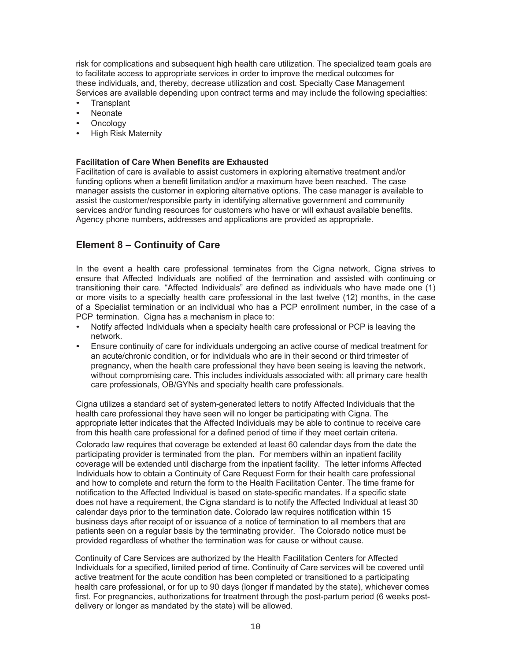risk for complications and subsequent high health care utilization. The specialized team goals are to facilitate access to appropriate services in order to improve the medical outcomes for these individuals, and, thereby, decrease utilization and cost. Specialty Case Management Services are available depending upon contract terms and may include the following specialties:

- Transplant
- Neonate
- Oncology
- High Risk Maternity

### **Facilitation of Care When Benefits are Exhausted**

Facilitation of care is available to assist customers in exploring alternative treatment and/or funding options when a benefit limitation and/or a maximum have been reached. The case manager assists the customer in exploring alternative options. The case manager is available to assist the customer/responsible party in identifying alternative government and community services and/or funding resources for customers who have or will exhaust available benefits. Agency phone numbers, addresses and applications are provided as appropriate.

# **Element 8 – Continuity of Care**

In the event a health care professional terminates from the Cigna network, Cigna strives to ensure that Affected Individuals are notified of the termination and assisted with continuing or transitioning their care. "Affected Individuals" are defined as individuals who have made one (1) or more visits to a specialty health care professional in the last twelve (12) months, in the case of a Specialist termination or an individual who has a PCP enrollment number, in the case of a PCP termination. Cigna has a mechanism in place to:

- Notify affected Individuals when a specialty health care professional or PCP is leaving the network.
- Ensure continuity of care for individuals undergoing an active course of medical treatment for an acute/chronic condition, or for individuals who are in their second or third trimester of pregnancy, when the health care professional they have been seeing is leaving the network, without compromising care. This includes individuals associated with: all primary care health care professionals, OB/GYNs and specialty health care professionals.

Cigna utilizes a standard set of system-generated letters to notify Affected Individuals that the health care professional they have seen will no longer be participating with Cigna. The appropriate letter indicates that the Affected Individuals may be able to continue to receive care from this health care professional for a defined period of time if they meet certain criteria.

Colorado law requires that coverage be extended at least 60 calendar days from the date the participating provider is terminated from the plan. For members within an inpatient facility coverage will be extended until discharge from the inpatient facility. The letter informs Affected Individuals how to obtain a Continuity of Care Request Form for their health care professional and how to complete and return the form to the Health Facilitation Center. The time frame for notification to the Affected Individual is based on state-specific mandates. If a specific state does not have a requirement, the Cigna standard is to notify the Affected Individual at least 30 calendar days prior to the termination date. Colorado law requires notification within 15 business days after receipt of or issuance of a notice of termination to all members that are patients seen on a regular basis by the terminating provider. The Colorado notice must be provided regardless of whether the termination was for cause or without cause.

Continuity of Care Services are authorized by the Health Facilitation Centers for Affected Individuals for a specified, limited period of time. Continuity of Care services will be covered until active treatment for the acute condition has been completed or transitioned to a participating health care professional, or for up to 90 days (longer if mandated by the state), whichever comes first. For pregnancies, authorizations for treatment through the post-partum period (6 weeks postdelivery or longer as mandated by the state) will be allowed.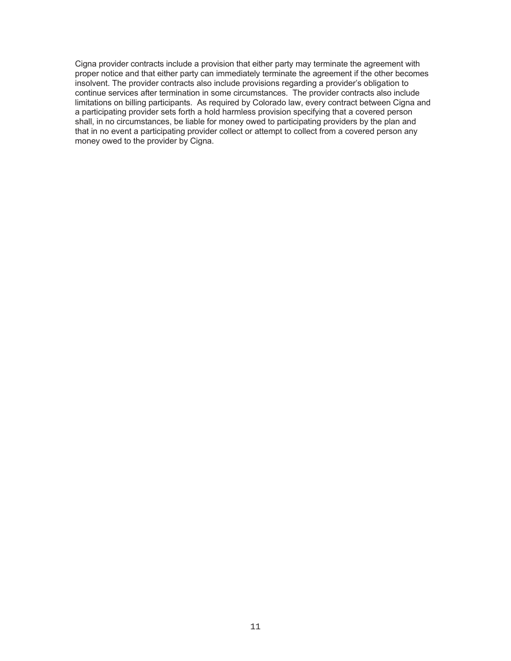Cigna provider contracts include a provision that either party may terminate the agreement with proper notice and that either party can immediately terminate the agreement if the other becomes insolvent. The provider contracts also include provisions regarding a provider's obligation to continue services after termination in some circumstances. The provider contracts also include limitations on billing participants. As required by Colorado law, every contract between Cigna and a participating provider sets forth a hold harmless provision specifying that a covered person shall, in no circumstances, be liable for money owed to participating providers by the plan and that in no event a participating provider collect or attempt to collect from a covered person any money owed to the provider by Cigna.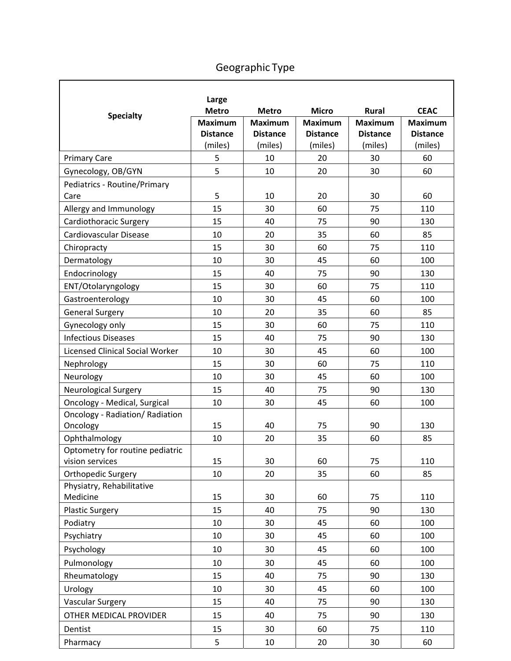|                                        | Large           |                 |                 |                 |                 |
|----------------------------------------|-----------------|-----------------|-----------------|-----------------|-----------------|
| <b>Specialty</b>                       | <b>Metro</b>    | <b>Metro</b>    | <b>Micro</b>    | <b>Rural</b>    | <b>CEAC</b>     |
|                                        | <b>Maximum</b>  | <b>Maximum</b>  | <b>Maximum</b>  | <b>Maximum</b>  | <b>Maximum</b>  |
|                                        | <b>Distance</b> | <b>Distance</b> | <b>Distance</b> | <b>Distance</b> | <b>Distance</b> |
|                                        | (miles)         | (miles)         | (miles)         | (miles)         | (miles)         |
| <b>Primary Care</b>                    | 5               | 10              | 20              | 30              | 60              |
| Gynecology, OB/GYN                     | 5               | 10              | 20              | 30              | 60              |
| Pediatrics - Routine/Primary<br>Care   | 5               | 10              | 20              | 30              | 60              |
| Allergy and Immunology                 | 15              | 30              | 60              | 75              | 110             |
| Cardiothoracic Surgery                 | 15              | 40              | 75              | 90              | 130             |
| Cardiovascular Disease                 | 10              | 20              | 35              | 60              | 85              |
| Chiropracty                            | 15              | 30              | 60              | 75              | 110             |
| Dermatology                            | 10              | 30              | 45              | 60              | 100             |
| Endocrinology                          | 15              | 40              | 75              | 90              | 130             |
| ENT/Otolaryngology                     | 15              | 30              | 60              | 75              | 110             |
| Gastroenterology                       | 10              | 30              | 45              | 60              | 100             |
| <b>General Surgery</b>                 | 10              | 20              | 35              | 60              | 85              |
| Gynecology only                        | 15              | 30              | 60              | 75              | 110             |
| <b>Infectious Diseases</b>             | 15              | 40              | 75              | 90              | 130             |
| <b>Licensed Clinical Social Worker</b> | 10              | 30              | 45              | 60              | 100             |
| Nephrology                             | 15              | 30              | 60              | 75              | 110             |
| Neurology                              | 10              | 30              | 45              | 60              | 100             |
| Neurological Surgery                   | 15              | 40              | 75              | 90              | 130             |
| Oncology - Medical, Surgical           | 10              | 30              | 45              | 60              | 100             |
| Oncology - Radiation/ Radiation        |                 |                 |                 |                 |                 |
| Oncology                               | 15              | 40              | 75              | 90              | 130             |
| Ophthalmology                          | 10              | 20              | 35              | 60              | 85              |
| Optometry for routine pediatric        |                 |                 |                 |                 |                 |
| vision services                        | 15              | 30              | 60              | 75              | 110             |
| Orthopedic Surgery                     | 10              | 20              | 35              | 60              | 85              |
| Physiatry, Rehabilitative<br>Medicine  | 15              | 30              | 60              | 75              | 110             |
| <b>Plastic Surgery</b>                 | 15              | 40              | 75              | 90              | 130             |
| Podiatry                               | 10              | 30              | 45              | 60              | 100             |
| Psychiatry                             | 10              | 30              | 45              | 60              | 100             |
| Psychology                             | 10              | 30              | 45              | 60              | 100             |
| Pulmonology                            | 10              | 30              | 45              | 60              | 100             |
| Rheumatology                           | 15              | 40              | 75              | 90              | 130             |
| Urology                                | 10              | 30              | 45              | 60              | 100             |
| <b>Vascular Surgery</b>                | 15              | 40              | 75              | 90              | 130             |
| OTHER MEDICAL PROVIDER                 | 15              | 40              | 75              | 90              | 130             |
| Dentist                                | 15              | 30              | 60              | 75              | 110             |
|                                        |                 |                 |                 |                 |                 |
| Pharmacy                               | 5               | 10              | 20              | 30              | 60              |

# Geographic Type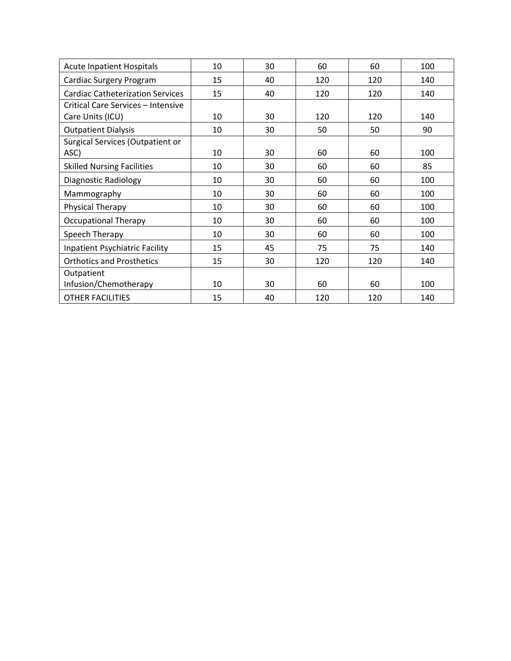| <b>Acute Inpatient Hospitals</b>        | 10 | 30 | 60  | 60  | 100 |
|-----------------------------------------|----|----|-----|-----|-----|
| Cardiac Surgery Program                 | 15 | 40 | 120 | 120 | 140 |
| <b>Cardiac Catheterization Services</b> | 15 | 40 | 120 | 120 | 140 |
| Critical Care Services - Intensive      |    |    |     |     |     |
| Care Units (ICU)                        | 10 | 30 | 120 | 120 | 140 |
| <b>Outpatient Dialysis</b>              | 10 | 30 | 50  | 50  | 90  |
| Surgical Services (Outpatient or        |    |    |     |     |     |
| ASC)                                    | 10 | 30 | 60  | 60  | 100 |
| <b>Skilled Nursing Facilities</b>       | 10 | 30 | 60  | 60  | 85  |
| Diagnostic Radiology                    | 10 | 30 | 60  | 60  | 100 |
| Mammography                             | 10 | 30 | 60  | 60  | 100 |
| Physical Therapy                        | 10 | 30 | 60  | 60  | 100 |
| <b>Occupational Therapy</b>             | 10 | 30 | 60  | 60  | 100 |
| Speech Therapy                          | 10 | 30 | 60  | 60  | 100 |
| <b>Inpatient Psychiatric Facility</b>   | 15 | 45 | 75  | 75  | 140 |
| <b>Orthotics and Prosthetics</b>        | 15 | 30 | 120 | 120 | 140 |
| Outpatient                              |    |    |     |     |     |
| Infusion/Chemotherapy                   | 10 | 30 | 60  | 60  | 100 |
| <b>OTHER FACILITIES</b>                 | 15 | 40 | 120 | 120 | 140 |